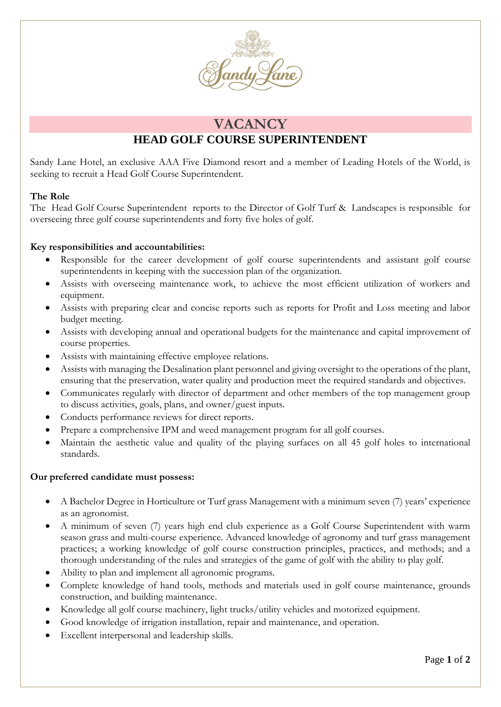

# **VACANCY**

## **HEAD GOLF COURSE SUPERINTENDENT**

Sandy Lane Hotel, an exclusive AAA Five Diamond resort and a member of Leading Hotels of the World, is seeking to recruit a Head Golf Course Superintendent.

### **The Role**

The Head Golf Course Superintendent reports to the Director of Golf Turf & Landscapes is responsible for overseeing three golf course superintendents and forty five holes of golf.

### **Key responsibilities and accountabilities:**

- Responsible for the career development of golf course superintendents and assistant golf course superintendents in keeping with the succession plan of the organization.
- Assists with overseeing maintenance work, to achieve the most efficient utilization of workers and equipment.
- Assists with preparing clear and concise reports such as reports for Profit and Loss meeting and labor budget meeting.
- Assists with developing annual and operational budgets for the maintenance and capital improvement of course properties.
- Assists with maintaining effective employee relations.
- Assists with managing the Desalination plant personnel and giving oversight to the operations of the plant, ensuring that the preservation, water quality and production meet the required standards and objectives.
- Communicates regularly with director of department and other members of the top management group to discuss activities, goals, plans, and owner/guest inputs.
- Conducts performance reviews for direct reports.
- Prepare a comprehensive IPM and weed management program for all golf courses.
- Maintain the aesthetic value and quality of the playing surfaces on all 45 golf holes to international standards.

#### **Our preferred candidate must possess:**

- A Bachelor Degree in Horticulture or Turf grass Management with a minimum seven (7) years' experience as an agronomist.
- A minimum of seven (7) years high end club experience as a Golf Course Superintendent with warm season grass and multi-course experience. Advanced knowledge of agronomy and turf grass management practices; a working knowledge of golf course construction principles, practices, and methods; and a thorough understanding of the rules and strategies of the game of golf with the ability to play golf.
- Ability to plan and implement all agronomic programs.
- Complete knowledge of hand tools, methods and materials used in golf course maintenance, grounds construction, and building maintenance.
- Knowledge all golf course machinery, light trucks/utility vehicles and motorized equipment.
- Good knowledge of irrigation installation, repair and maintenance, and operation.
- Excellent interpersonal and leadership skills.